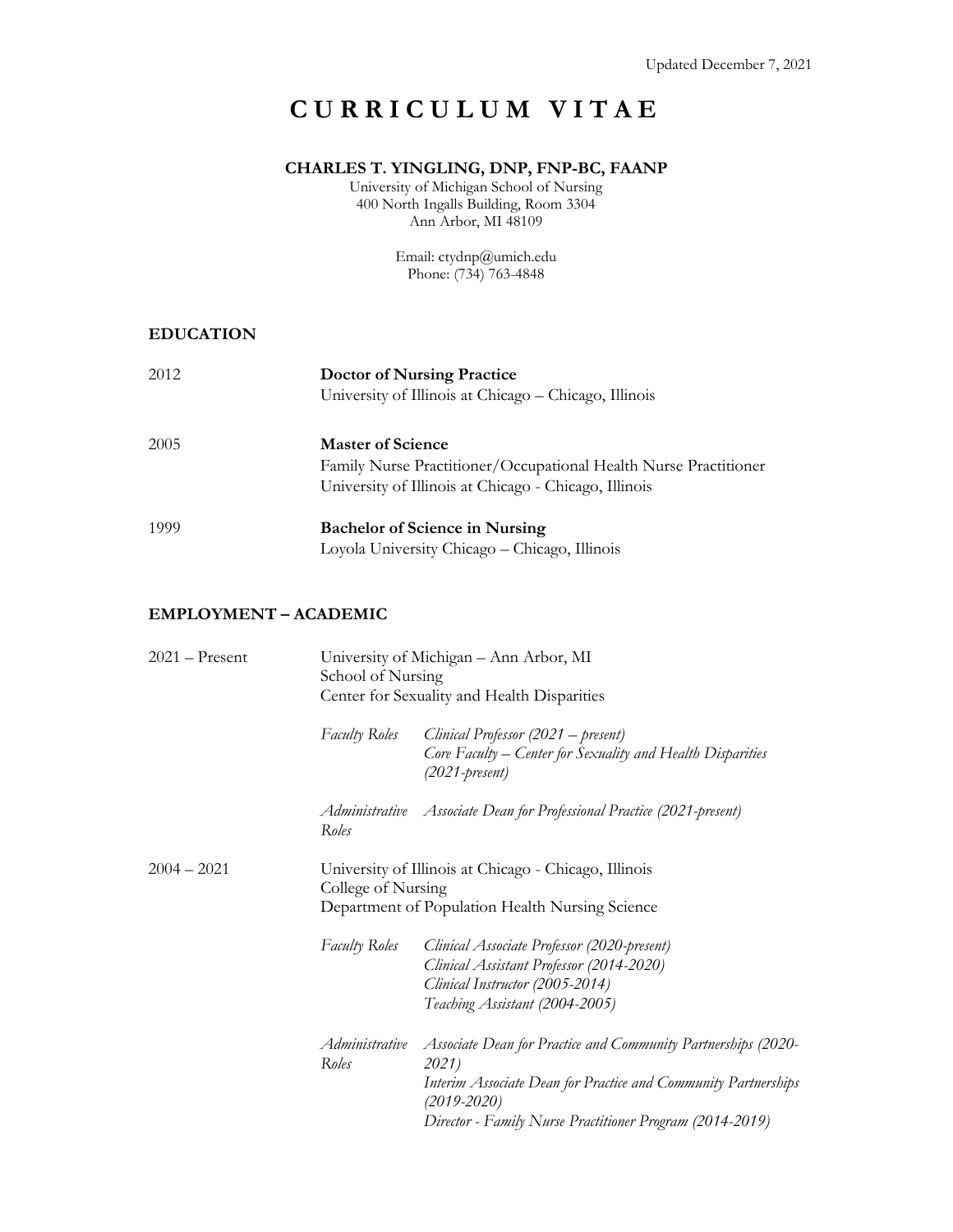# **CURRICULUM VITAE**

### **CHARLES T. YINGLING, DNP, FNP-BC, FAANP**

University of Michigan School of Nursing 400 North Ingalls Building, Room 3304 Ann Arbor, MI 48109

> Email: ctydnp@umich.edu Phone: (734) 763-4848

#### **EDUCATION**

| 2012 | <b>Doctor of Nursing Practice</b><br>University of Illinois at Chicago - Chicago, Illinois                                                            |
|------|-------------------------------------------------------------------------------------------------------------------------------------------------------|
| 2005 | <b>Master of Science</b><br>Family Nurse Practitioner/Occupational Health Nurse Practitioner<br>University of Illinois at Chicago - Chicago, Illinois |
| 1999 | <b>Bachelor of Science in Nursing</b><br>Loyola University Chicago - Chicago, Illinois                                                                |

#### **EMPLOYMENT – ACADEMIC**

| $2021 -$ Present | School of Nursing       | University of Michigan - Ann Arbor, MI<br>Center for Sexuality and Health Disparities                                                                                                                                   |
|------------------|-------------------------|-------------------------------------------------------------------------------------------------------------------------------------------------------------------------------------------------------------------------|
|                  | <b>Faculty Roles</b>    | Clinical Professor (2021 – present)<br>Core Faculty – Center for Sexuality and Health Disparities<br>$(2021$ -present)                                                                                                  |
|                  | Roles                   | Administrative Associate Dean for Professional Practice (2021-present)                                                                                                                                                  |
| $2004 - 2021$    | College of Nursing      | University of Illinois at Chicago - Chicago, Illinois<br>Department of Population Health Nursing Science                                                                                                                |
|                  | Faculty Roles           | Clinical Associate Professor (2020-present)<br>Clinical Assistant Professor (2014-2020)<br>Clinical Instructor (2005-2014)<br>Teaching Assistant (2004-2005)                                                            |
|                  | Administrative<br>Roles | Associate Dean for Practice and Community Partnerships (2020-<br>2021)<br>Interim Associate Dean for Practice and Community Partnerships<br>$(2019 - 2020)$<br>Director - Family Nurse Practitioner Program (2014-2019) |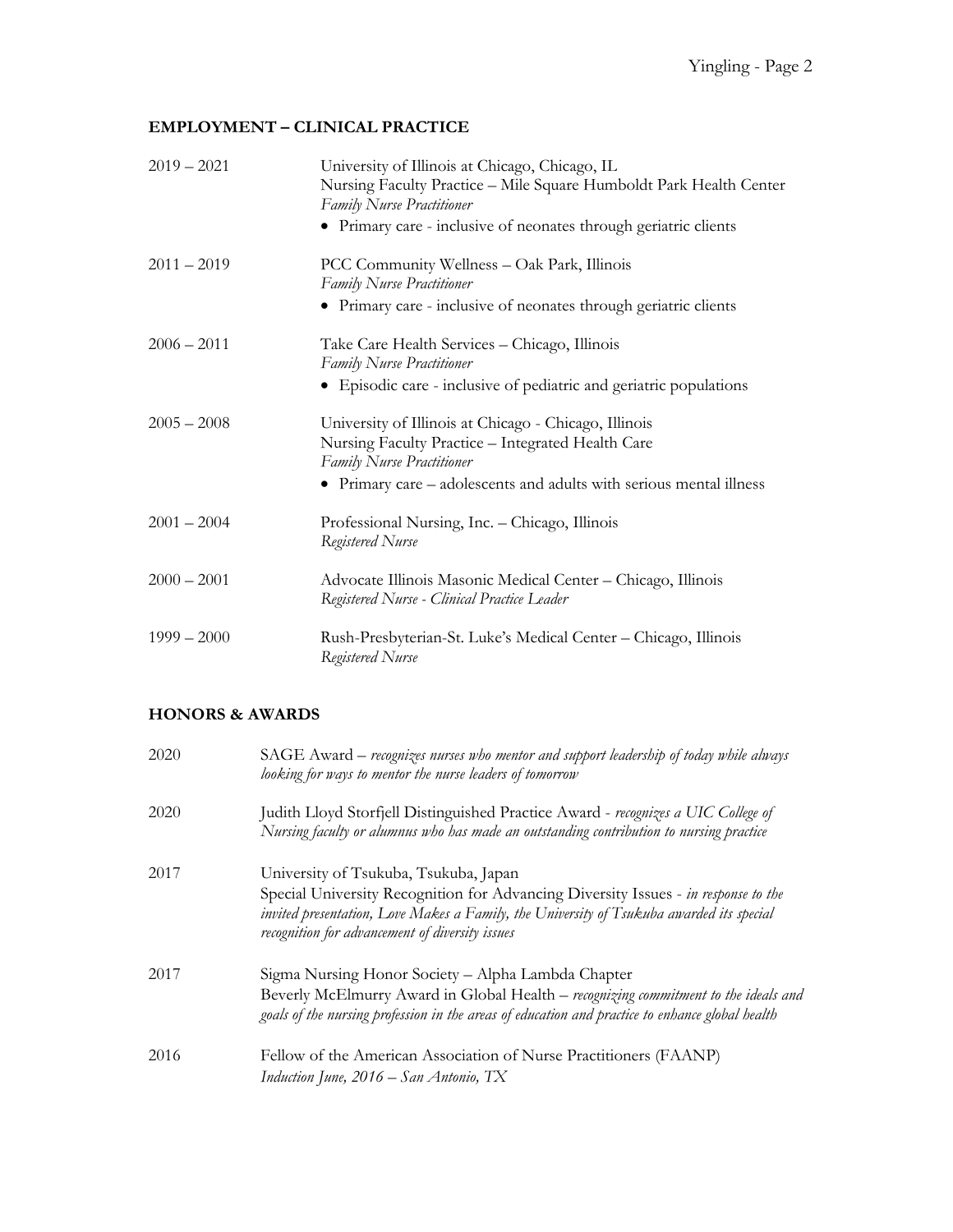### **EMPLOYMENT – CLINICAL PRACTICE**

| $2019 - 2021$ | University of Illinois at Chicago, Chicago, IL<br>Nursing Faculty Practice - Mile Square Humboldt Park Health Center<br><b>Family Nurse Practitioner</b> |
|---------------|----------------------------------------------------------------------------------------------------------------------------------------------------------|
|               | • Primary care - inclusive of neonates through geriatric clients                                                                                         |
| $2011 - 2019$ | PCC Community Wellness - Oak Park, Illinois<br><b>Family Nurse Practitioner</b>                                                                          |
|               | • Primary care - inclusive of neonates through geriatric clients                                                                                         |
| $2006 - 2011$ | Take Care Health Services - Chicago, Illinois<br><b>Family Nurse Practitioner</b>                                                                        |
|               | • Episodic care - inclusive of pediatric and geriatric populations                                                                                       |
| $2005 - 2008$ | University of Illinois at Chicago - Chicago, Illinois<br>Nursing Faculty Practice - Integrated Health Care<br><b>Family Nurse Practitioner</b>           |
|               | • Primary care – adolescents and adults with serious mental illness                                                                                      |
| $2001 - 2004$ | Professional Nursing, Inc. - Chicago, Illinois<br>Registered Nurse                                                                                       |
| $2000 - 2001$ | Advocate Illinois Masonic Medical Center - Chicago, Illinois<br>Registered Nurse - Clinical Practice Leader                                              |
| $1999 - 2000$ | Rush-Presbyterian-St. Luke's Medical Center - Chicago, Illinois<br>Registered Nurse                                                                      |

# **HONORS & AWARDS**

| 2020 | SAGE Award – recognizes nurses who mentor and support leadership of today while always<br>looking for ways to mentor the nurse leaders of tomorrow                                                                                                                         |
|------|----------------------------------------------------------------------------------------------------------------------------------------------------------------------------------------------------------------------------------------------------------------------------|
| 2020 | Judith Lloyd Storfjell Distinguished Practice Award - recognizes a UIC College of<br>Nursing faculty or alumnus who has made an outstanding contribution to nursing practice                                                                                               |
| 2017 | University of Tsukuba, Tsukuba, Japan<br>Special University Recognition for Advancing Diversity Issues - in response to the<br>invited presentation, Love Makes a Family, the University of Tsukuba awarded its special<br>recognition for advancement of diversity issues |
| 2017 | Sigma Nursing Honor Society - Alpha Lambda Chapter<br>Beverly McElmurry Award in Global Health - recognizing commitment to the ideals and<br>goals of the nursing profession in the areas of education and practice to enhance global health                               |
| 2016 | Fellow of the American Association of Nurse Practitioners (FAANP)<br>Induction June, $2016 - San Antonio$ , TX                                                                                                                                                             |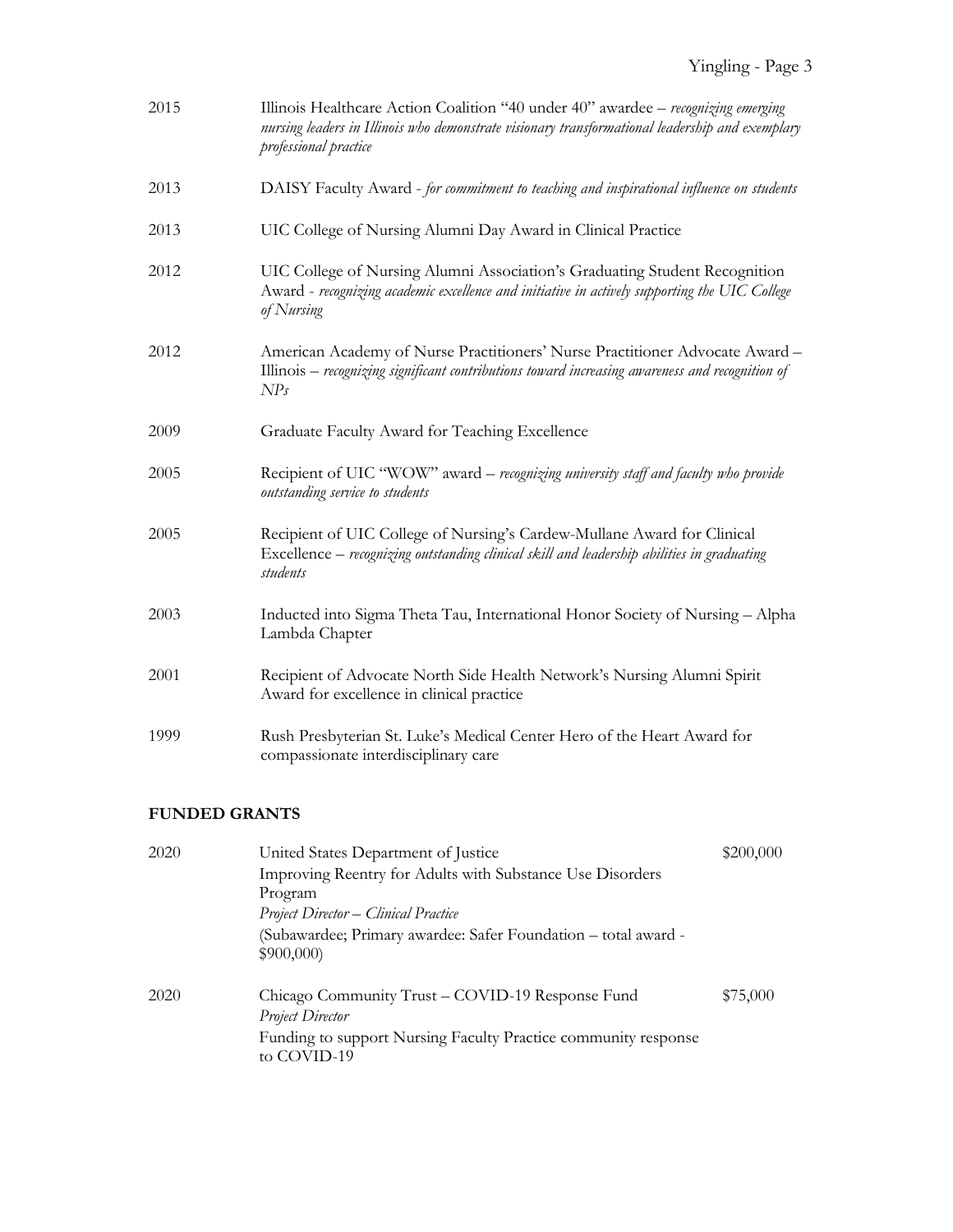| 2015 | Illinois Healthcare Action Coalition "40 under 40" awardee - recognizing emerging<br>nursing leaders in Illinois who demonstrate visionary transformational leadership and exemplary<br>professional practice |
|------|---------------------------------------------------------------------------------------------------------------------------------------------------------------------------------------------------------------|
| 2013 | DAISY Faculty Award - for commitment to teaching and inspirational influence on students                                                                                                                      |
| 2013 | UIC College of Nursing Alumni Day Award in Clinical Practice                                                                                                                                                  |
| 2012 | UIC College of Nursing Alumni Association's Graduating Student Recognition<br>Award - recognizing academic excellence and initiative in actively supporting the UIC College<br>of Nursing                     |
| 2012 | American Academy of Nurse Practitioners' Nurse Practitioner Advocate Award -<br>Illinois – recognizing significant contributions toward increasing awareness and recognition of<br>NP <sub>s</sub>            |
| 2009 | Graduate Faculty Award for Teaching Excellence                                                                                                                                                                |
| 2005 | Recipient of UIC "WOW" award - recognizing university staff and faculty who provide<br>outstanding service to students                                                                                        |
| 2005 | Recipient of UIC College of Nursing's Cardew-Mullane Award for Clinical<br>Excellence – recognizing outstanding clinical skill and leadership abilities in graduating<br>students                             |
| 2003 | Inducted into Sigma Theta Tau, International Honor Society of Nursing - Alpha<br>Lambda Chapter                                                                                                               |
| 2001 | Recipient of Advocate North Side Health Network's Nursing Alumni Spirit<br>Award for excellence in clinical practice                                                                                          |
| 1999 | Rush Presbyterian St. Luke's Medical Center Hero of the Heart Award for<br>compassionate interdisciplinary care                                                                                               |

### **FUNDED GRANTS**

| 2020 | United States Department of Justice                                           | \$200,000 |
|------|-------------------------------------------------------------------------------|-----------|
|      | Improving Reentry for Adults with Substance Use Disorders                     |           |
|      | Program                                                                       |           |
|      | <b>Project Director – Clinical Practice</b>                                   |           |
|      | (Subawardee; Primary awardee: Safer Foundation - total award -<br>\$900,000   |           |
| 2020 | Chicago Community Trust – COVID-19 Response Fund<br><b>Project Director</b>   | \$75,000  |
|      | Funding to support Nursing Faculty Practice community response<br>to COVID-19 |           |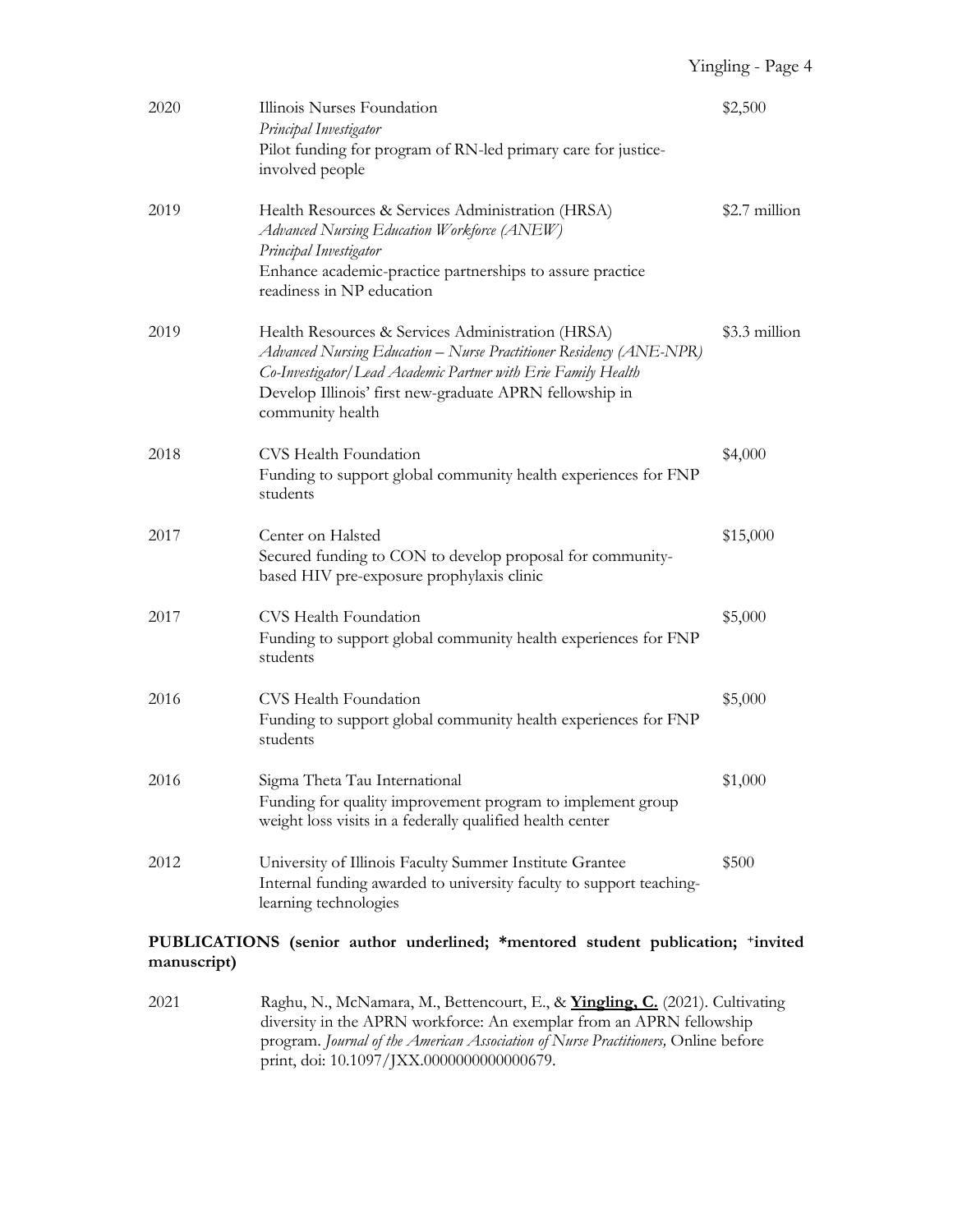| 2020 | Illinois Nurses Foundation<br>Principal Investigator<br>Pilot funding for program of RN-led primary care for justice-<br>involved people                                                                                                                                 | \$2,500       |
|------|--------------------------------------------------------------------------------------------------------------------------------------------------------------------------------------------------------------------------------------------------------------------------|---------------|
| 2019 | Health Resources & Services Administration (HRSA)<br>Advanced Nursing Education Workforce (ANEW)<br>Principal Investigator<br>Enhance academic-practice partnerships to assure practice<br>readiness in NP education                                                     | \$2.7 million |
| 2019 | Health Resources & Services Administration (HRSA)<br>Advanced Nursing Education – Nurse Practitioner Residency (ANE-NPR)<br>Co-Investigator/Lead Academic Partner with Erie Family Health<br>Develop Illinois' first new-graduate APRN fellowship in<br>community health | \$3.3 million |
| 2018 | CVS Health Foundation<br>Funding to support global community health experiences for FNP<br>students                                                                                                                                                                      | \$4,000       |
| 2017 | Center on Halsted<br>Secured funding to CON to develop proposal for community-<br>based HIV pre-exposure prophylaxis clinic                                                                                                                                              | \$15,000      |
| 2017 | CVS Health Foundation<br>Funding to support global community health experiences for FNP<br>students                                                                                                                                                                      | \$5,000       |
| 2016 | CVS Health Foundation<br>Funding to support global community health experiences for FNP<br>students                                                                                                                                                                      | \$5,000       |
| 2016 | Sigma Theta Tau International<br>Funding for quality improvement program to implement group<br>weight loss visits in a federally qualified health center                                                                                                                 | \$1,000       |
| 2012 | University of Illinois Faculty Summer Institute Grantee<br>Internal funding awarded to university faculty to support teaching-<br>learning technologies                                                                                                                  | \$500         |

#### **PUBLICATIONS (senior author underlined; \*mentored student publication; +invited manuscript)**

2021 Raghu, N., McNamara, M., Bettencourt, E., & **Yingling, C.** (2021). Cultivating diversity in the APRN workforce: An exemplar from an APRN fellowship program. *Journal of the American Association of Nurse Practitioners,* Online before print, doi: 10.1097/JXX.0000000000000679.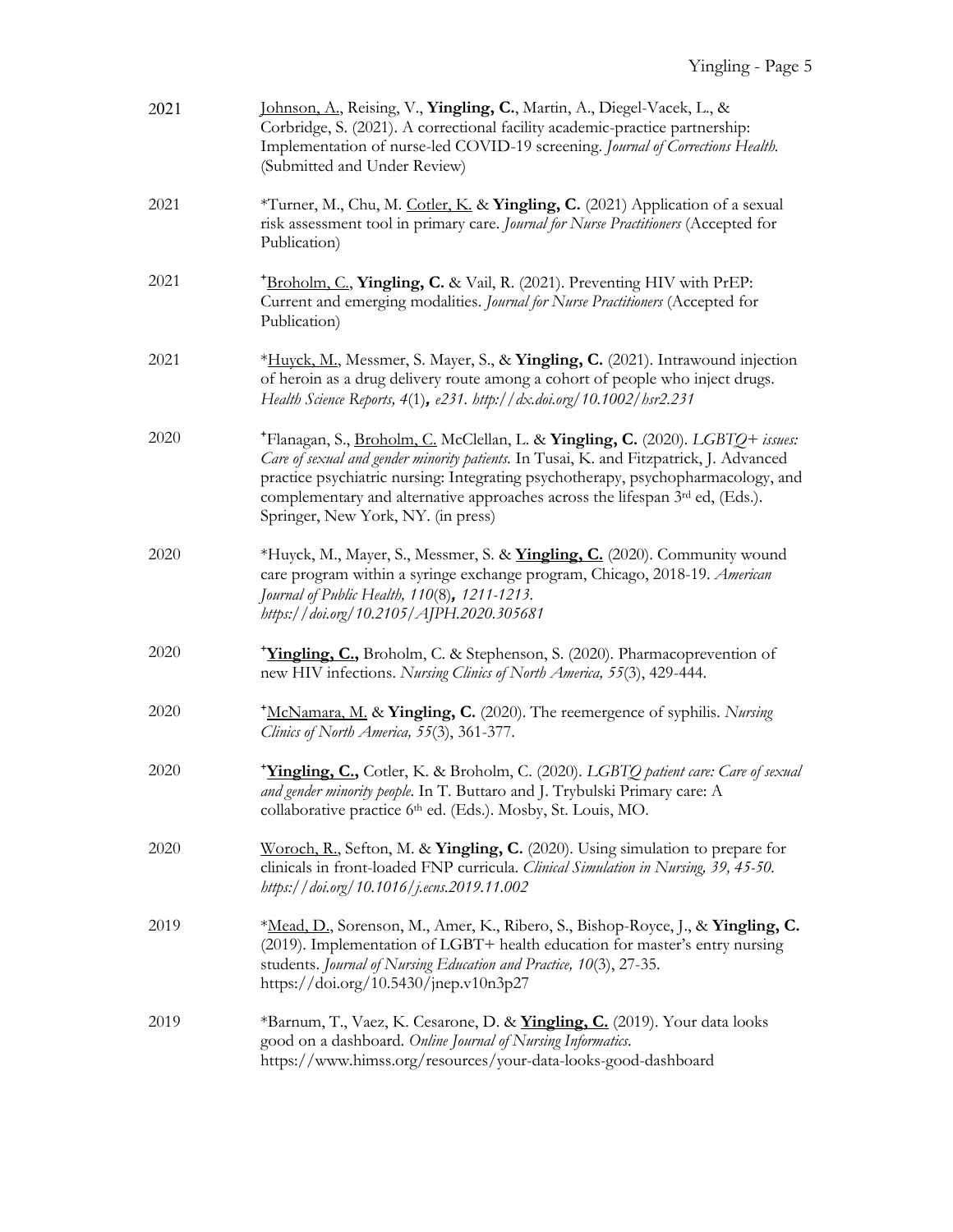| 2021 | Johnson, A., Reising, V., Yingling, C., Martin, A., Diegel-Vacek, L., &<br>Corbridge, S. (2021). A correctional facility academic-practice partnership:<br>Implementation of nurse-led COVID-19 screening. Journal of Corrections Health.<br>(Submitted and Under Review)                                                                                                          |
|------|------------------------------------------------------------------------------------------------------------------------------------------------------------------------------------------------------------------------------------------------------------------------------------------------------------------------------------------------------------------------------------|
| 2021 | *Turner, M., Chu, M. Cotler, K. & Yingling, C. (2021) Application of a sexual<br>risk assessment tool in primary care. Journal for Nurse Practitioners (Accepted for<br>Publication)                                                                                                                                                                                               |
| 2021 | <sup>+</sup> Broholm, C., <b>Yingling, C.</b> & Vail, R. (2021). Preventing HIV with PrEP:<br>Current and emerging modalities. Journal for Nurse Practitioners (Accepted for<br>Publication)                                                                                                                                                                                       |
| 2021 | *Huyck, M., Messmer, S. Mayer, S., & Yingling, C. (2021). Intrawound injection<br>of heroin as a drug delivery route among a cohort of people who inject drugs.<br>Health Science Reports, 4(1), e231. http://dx.doi.org/10.1002/hsr2.231                                                                                                                                          |
| 2020 | *Flanagan, S., Broholm, C. McClellan, L. & Yingling, C. (2020). LGBTQ+ issues:<br>Care of sexual and gender minority patients. In Tusai, K. and Fitzpatrick, J. Advanced<br>practice psychiatric nursing: Integrating psychotherapy, psychopharmacology, and<br>complementary and alternative approaches across the lifespan 3rd ed, (Eds.).<br>Springer, New York, NY. (in press) |
| 2020 | *Huyck, M., Mayer, S., Messmer, S. & Yingling, C. (2020). Community wound<br>care program within a syringe exchange program, Chicago, 2018-19. American<br>Journal of Public Health, 110(8), 1211-1213.<br>https://doi.org/10.2105/AJPH.2020.305681                                                                                                                                |
| 2020 | <sup>+</sup> Yingling, C., Broholm, C. & Stephenson, S. (2020). Pharmacoprevention of<br>new HIV infections. Nursing Clinics of North America, 55(3), 429-444.                                                                                                                                                                                                                     |
| 2020 | <sup>+</sup> McNamara, M. & <b>Yingling, C.</b> (2020). The reemergence of syphilis. Nursing<br>Clinics of North America, 55(3), 361-377.                                                                                                                                                                                                                                          |
| 2020 | <i>Hingling, C., Cotler, K. &amp; Broholm, C. (2020). LGBTQ patient care: Care of sexual</i><br>and gender minority people. In T. Buttaro and J. Trybulski Primary care: A<br>collaborative practice 6 <sup>th</sup> ed. (Eds.). Mosby, St. Louis, MO.                                                                                                                             |
| 2020 | Woroch, R., Sefton, M. & Yingling, C. (2020). Using simulation to prepare for<br>clinicals in front-loaded FNP curricula. Clinical Simulation in Nursing, 39, 45-50.<br>https://doi.org/10.1016/j.ecns.2019.11.002                                                                                                                                                                 |
| 2019 | *Mead, D., Sorenson, M., Amer, K., Ribero, S., Bishop-Royce, J., & Yingling, C.<br>(2019). Implementation of LGBT+ health education for master's entry nursing<br>students. Journal of Nursing Education and Practice, 10(3), 27-35.<br>https://doi.org/10.5430/jnep.v10n3p27                                                                                                      |
| 2019 | *Barnum, T., Vaez, K. Cesarone, D. & <i>Yingling, C.</i> (2019). Your data looks<br>good on a dashboard. Online Journal of Nursing Informatics.<br>https://www.himss.org/resources/your-data-looks-good-dashboard                                                                                                                                                                  |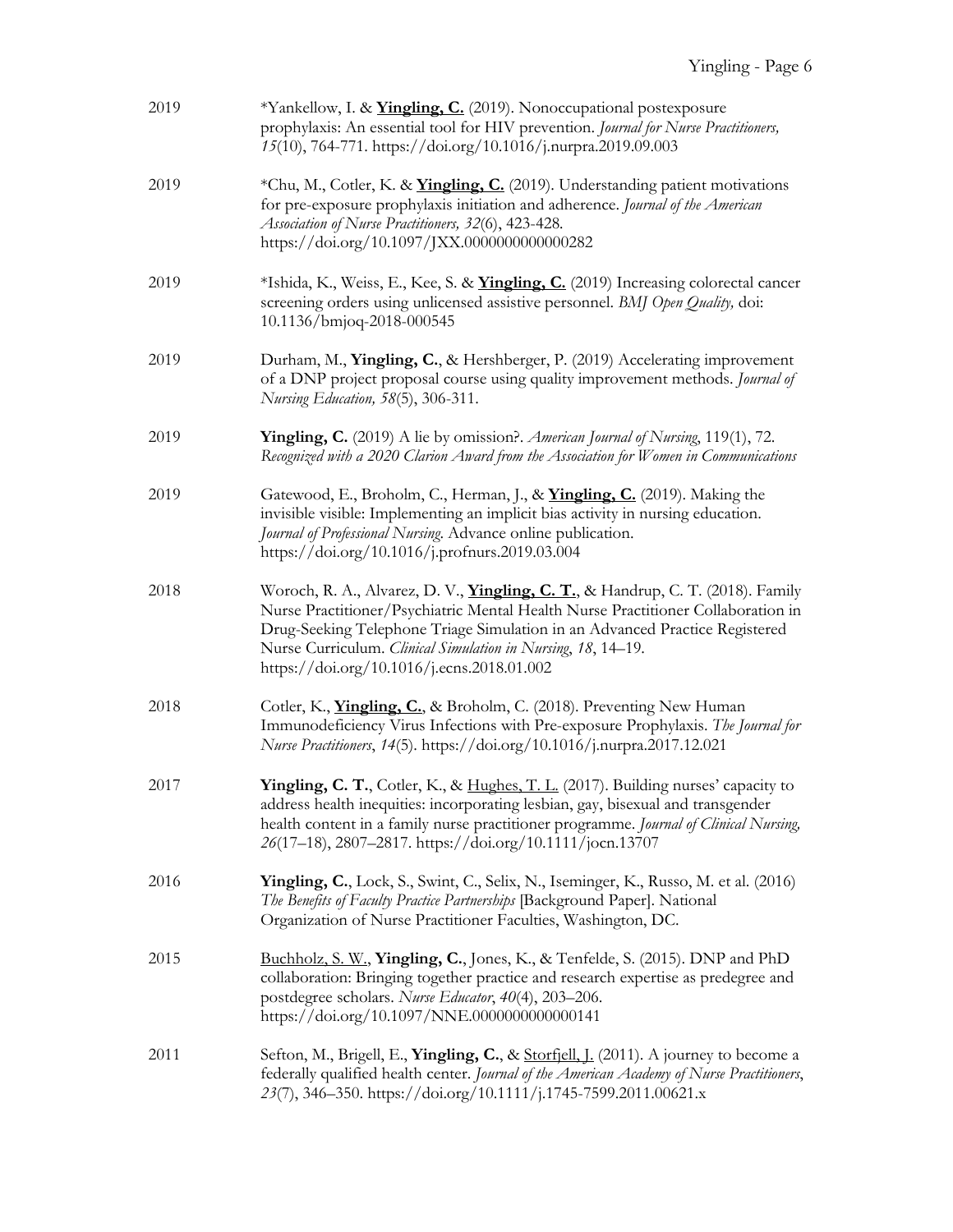| 2019 | *Yankellow, I. & <i>Yingling, C.</i> (2019). Nonoccupational postexposure<br>prophylaxis: An essential tool for HIV prevention. Journal for Nurse Practitioners,<br>15(10), 764-771. https://doi.org/10.1016/j.nurpra.2019.09.003                                                                                                                                        |
|------|--------------------------------------------------------------------------------------------------------------------------------------------------------------------------------------------------------------------------------------------------------------------------------------------------------------------------------------------------------------------------|
| 2019 | *Chu, M., Cotler, K. & <b>Yingling, C.</b> (2019). Understanding patient motivations<br>for pre-exposure prophylaxis initiation and adherence. Journal of the American<br>Association of Nurse Practitioners, 32(6), 423-428.<br>https://doi.org/10.1097/JXX.0000000000000282                                                                                            |
| 2019 | *Ishida, K., Weiss, E., Kee, S. & <i>Yingling, C.</i> (2019) Increasing colorectal cancer<br>screening orders using unlicensed assistive personnel. BMJ Open Quality, doi:<br>10.1136/bmjoq-2018-000545                                                                                                                                                                  |
| 2019 | Durham, M., Yingling, C., & Hershberger, P. (2019) Accelerating improvement<br>of a DNP project proposal course using quality improvement methods. Journal of<br>Nursing Education, 58(5), 306-311.                                                                                                                                                                      |
| 2019 | <b>Yingling, C.</b> (2019) A lie by omission?. American Journal of Nursing, 119(1), 72.<br>Recognized with a 2020 Clarion Award from the Association for Women in Communications                                                                                                                                                                                         |
| 2019 | Gatewood, E., Broholm, C., Herman, J., & Yingling, C. (2019). Making the<br>invisible visible: Implementing an implicit bias activity in nursing education.<br>Journal of Professional Nursing. Advance online publication.<br>https://doi.org/10.1016/j.profnurs.2019.03.004                                                                                            |
| 2018 | Woroch, R. A., Alvarez, D. V., <i>Yingling, C. T.</i> , & Handrup, C. T. (2018). Family<br>Nurse Practitioner/Psychiatric Mental Health Nurse Practitioner Collaboration in<br>Drug-Seeking Telephone Triage Simulation in an Advanced Practice Registered<br>Nurse Curriculum. Clinical Simulation in Nursing, 18, 14-19.<br>https://doi.org/10.1016/j.ecns.2018.01.002 |
| 2018 | Cotler, K., <i>Yingling, C.</i> , & Broholm, C. (2018). Preventing New Human<br>Immunodeficiency Virus Infections with Pre-exposure Prophylaxis. The Journal for<br>Nurse Practitioners, 14(5). https://doi.org/10.1016/j.nurpra.2017.12.021                                                                                                                             |
| 2017 | Yingling, C. T., Cotler, K., & Hughes, T. L. (2017). Building nurses' capacity to<br>address health inequities: incorporating lesbian, gay, bisexual and transgender<br>health content in a family nurse practitioner programme. Journal of Clinical Nursing,<br>26(17-18), 2807-2817. https://doi.org/10.1111/jocn.13707                                                |
| 2016 | Yingling, C., Lock, S., Swint, C., Selix, N., Iseminger, K., Russo, M. et al. (2016)<br>The Benefits of Faculty Practice Partnerships [Background Paper]. National<br>Organization of Nurse Practitioner Faculties, Washington, DC.                                                                                                                                      |
| 2015 | Buchholz, S. W., Yingling, C., Jones, K., & Tenfelde, S. (2015). DNP and PhD<br>collaboration: Bringing together practice and research expertise as predegree and<br>postdegree scholars. Nurse Educator, 40(4), 203-206.<br>https://doi.org/10.1097/NNE.0000000000000141                                                                                                |
| 2011 | Sefton, M., Brigell, E., <b>Yingling, C.</b> , & <u>Storfjell, J.</u> (2011). A journey to become a<br>federally qualified health center. Journal of the American Academy of Nurse Practitioners,<br>23(7), 346-350. https://doi.org/10.1111/j.1745-7599.2011.00621.x                                                                                                    |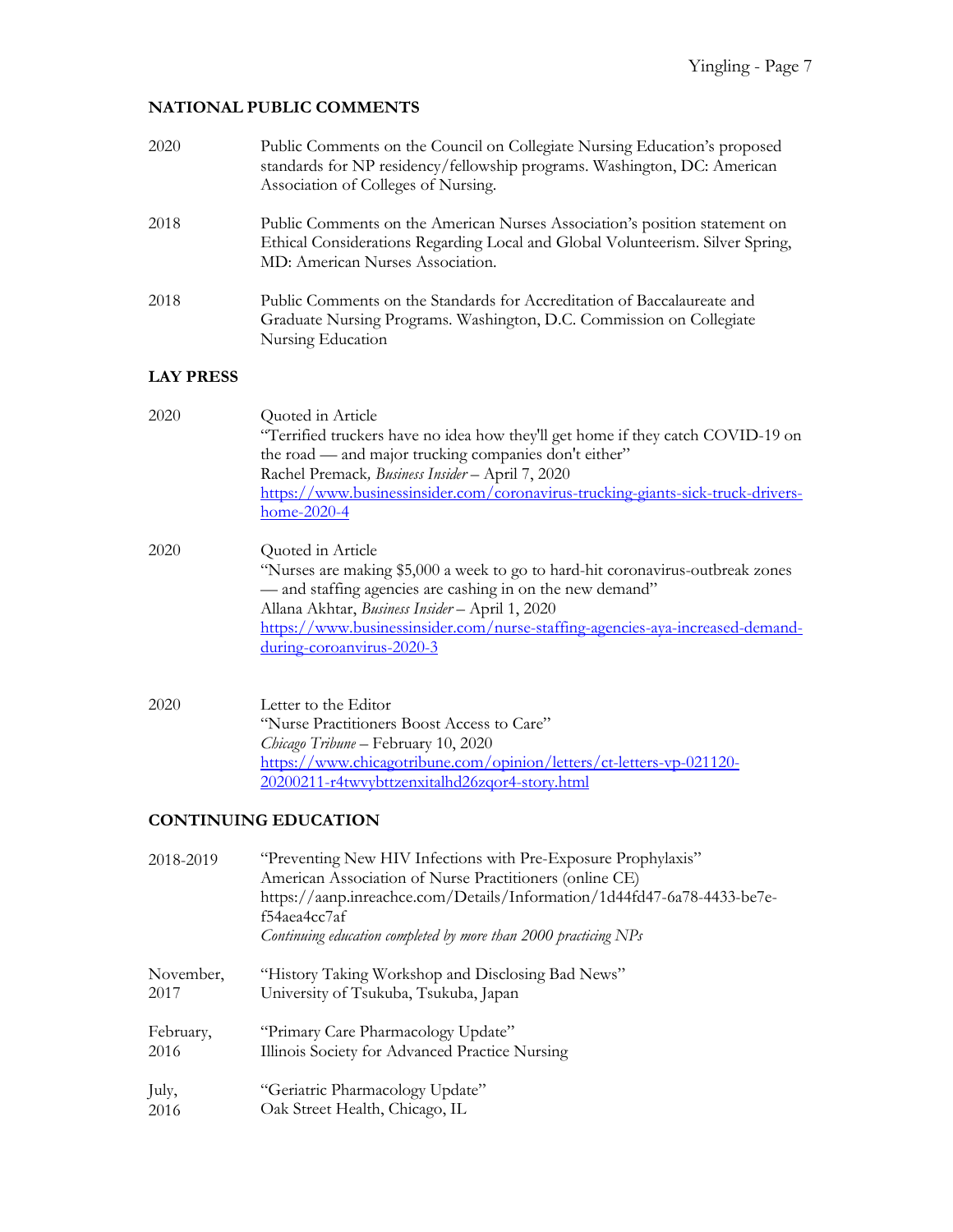# **NATIONAL PUBLIC COMMENTS**

| 2020              | Public Comments on the Council on Collegiate Nursing Education's proposed<br>standards for NP residency/fellowship programs. Washington, DC: American<br>Association of Colleges of Nursing.                                                                                                                                      |
|-------------------|-----------------------------------------------------------------------------------------------------------------------------------------------------------------------------------------------------------------------------------------------------------------------------------------------------------------------------------|
| 2018              | Public Comments on the American Nurses Association's position statement on<br>Ethical Considerations Regarding Local and Global Volunteerism. Silver Spring,<br>MD: American Nurses Association.                                                                                                                                  |
| 2018              | Public Comments on the Standards for Accreditation of Baccalaureate and<br>Graduate Nursing Programs. Washington, D.C. Commission on Collegiate<br>Nursing Education                                                                                                                                                              |
| <b>LAY PRESS</b>  |                                                                                                                                                                                                                                                                                                                                   |
| 2020              | Quoted in Article<br>"Terrified truckers have no idea how they'll get home if they catch COVID-19 on<br>the road — and major trucking companies don't either"<br>Rachel Premack, Business Insider - April 7, 2020<br>https://www.businessinsider.com/coronavirus-trucking-giants-sick-truck-drivers-<br>home-2020-4               |
| 2020              | Quoted in Article<br>"Nurses are making \$5,000 a week to go to hard-hit coronavirus-outbreak zones<br>- and staffing agencies are cashing in on the new demand"<br>Allana Akhtar, Business Insider - April 1, 2020<br>https://www.businessinsider.com/nurse-staffing-agencies-aya-increased-demand-<br>during-coroanvirus-2020-3 |
| 2020              | Letter to the Editor<br>"Nurse Practitioners Boost Access to Care"<br>Chicago Tribune - February 10, 2020<br>https://www.chicagotribune.com/opinion/letters/ct-letters-vp-021120-<br>20200211-r4twvybttzenxitalhd26zqor4-story.html                                                                                               |
|                   | <b>CONTINUING EDUCATION</b>                                                                                                                                                                                                                                                                                                       |
| 2018-2019         | "Preventing New HIV Infections with Pre-Exposure Prophylaxis"<br>American Association of Nurse Practitioners (online CE)<br>https://aanp.inreachce.com/Details/Information/1d44fd47-6a78-4433-be7e-<br>f54aea4cc7af<br>Continuing education completed by more than 2000 practicing NPs                                            |
| November,<br>2017 | "History Taking Workshop and Disclosing Bad News"<br>University of Tsukuba, Tsukuba, Japan                                                                                                                                                                                                                                        |
| February,<br>2016 | "Primary Care Pharmacology Update"<br>Illinois Society for Advanced Practice Nursing                                                                                                                                                                                                                                              |
| July,             | "Geriatric Pharmacology Update"                                                                                                                                                                                                                                                                                                   |

2016 Oak Street Health, Chicago, IL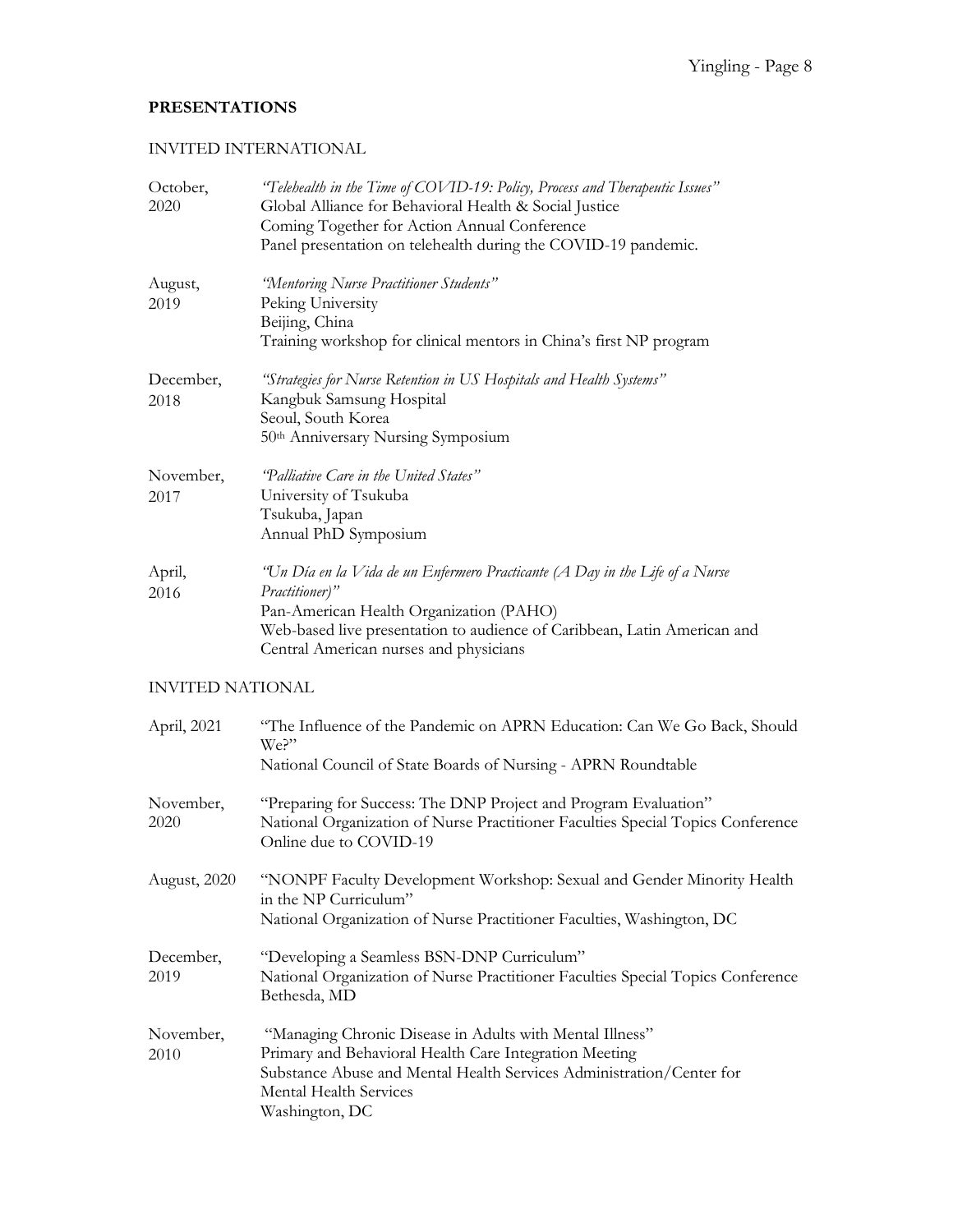# **PRESENTATIONS**

### INVITED INTERNATIONAL

| October,<br>2020        | "Telehealth in the Time of COVID-19: Policy, Process and Therapeutic Issues"<br>Global Alliance for Behavioral Health & Social Justice<br>Coming Together for Action Annual Conference<br>Panel presentation on telehealth during the COVID-19 pandemic.        |
|-------------------------|-----------------------------------------------------------------------------------------------------------------------------------------------------------------------------------------------------------------------------------------------------------------|
| August,<br>2019         | "Mentoring Nurse Practitioner Students"<br>Peking University<br>Beijing, China<br>Training workshop for clinical mentors in China's first NP program                                                                                                            |
| December,<br>2018       | "Strategies for Nurse Retention in US Hospitals and Health Systems"<br>Kangbuk Samsung Hospital<br>Seoul, South Korea<br>50th Anniversary Nursing Symposium                                                                                                     |
| November,<br>2017       | "Palliative Care in the United States"<br>University of Tsukuba<br>Tsukuba, Japan<br>Annual PhD Symposium                                                                                                                                                       |
| April,<br>2016          | "Un Día en la Vida de un Enfermero Practicante (A Day in the Life of a Nurse<br>Practitioner)"<br>Pan-American Health Organization (PAHO)<br>Web-based live presentation to audience of Caribbean, Latin American and<br>Central American nurses and physicians |
| <b>INVITED NATIONAL</b> |                                                                                                                                                                                                                                                                 |
| April, 2021             | "The Influence of the Pandemic on APRN Education: Can We Go Back, Should<br>We?"<br>National Council of State Boards of Nursing - APRN Roundtable                                                                                                               |
| November,<br>2020       | "Preparing for Success: The DNP Project and Program Evaluation"<br>National Organization of Nurse Practitioner Faculties Special Topics Conference<br>Online due to COVID-19                                                                                    |
| August, 2020            | "NONPF Faculty Development Workshop: Sexual and Gender Minority Health<br>in the NP Curriculum"<br>National Organization of Nurse Practitioner Faculties, Washington, DC                                                                                        |
| December,<br>2019       | "Developing a Seamless BSN-DNP Curriculum"<br>National Organization of Nurse Practitioner Faculties Special Topics Conference<br>Bethesda, MD                                                                                                                   |
| November,<br>2010       | "Managing Chronic Disease in Adults with Mental Illness"<br>Primary and Behavioral Health Care Integration Meeting<br>Substance Abuse and Mental Health Services Administration/Center for<br>Mental Health Services<br>Washington, DC                          |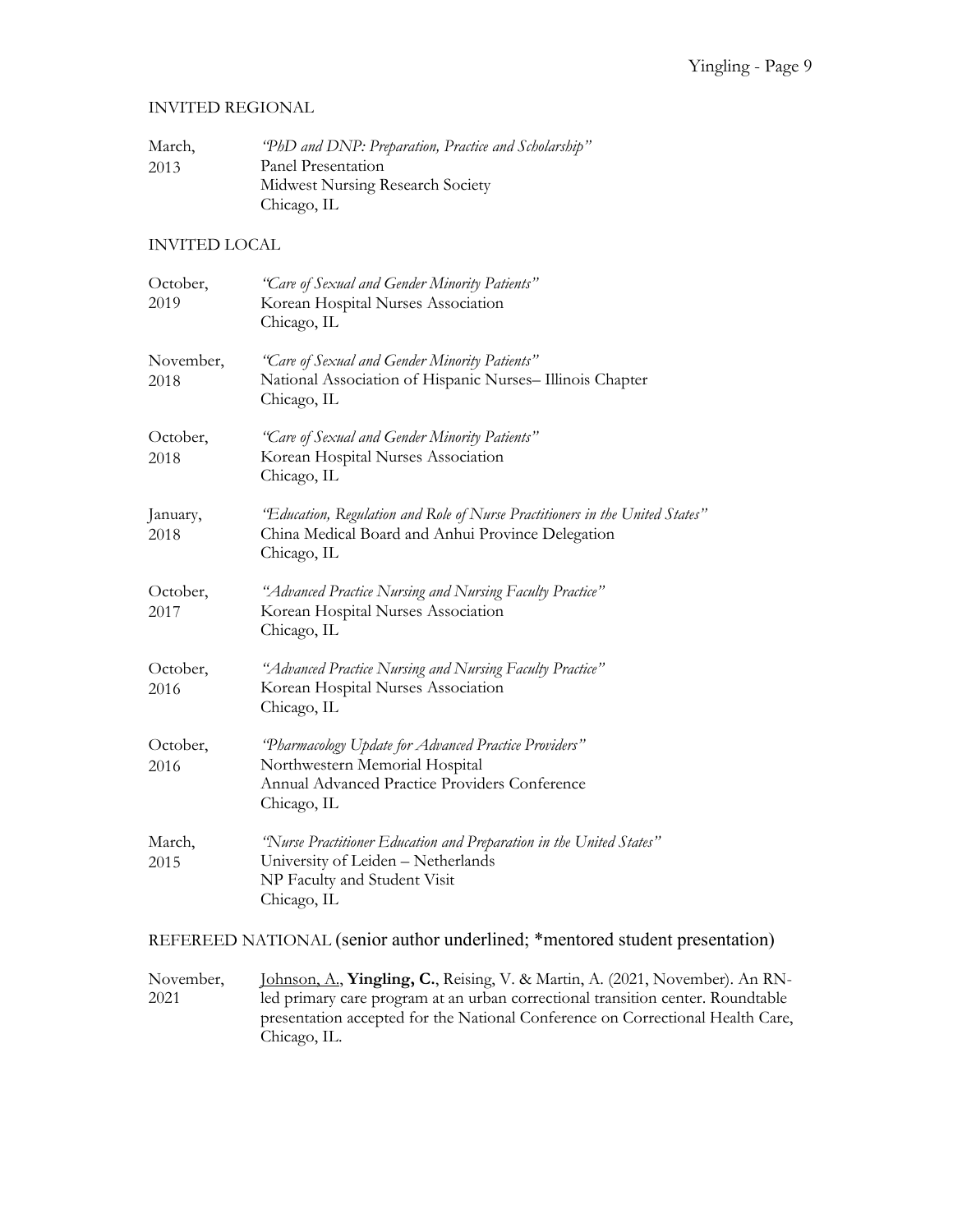#### INVITED REGIONAL

| March, | "PhD and DNP: Preparation, Practice and Scholarship" |
|--------|------------------------------------------------------|
| 2013   | Panel Presentation                                   |
|        | Midwest Nursing Research Society                     |
|        | Chicago, IL                                          |

#### INVITED LOCAL

| October,<br>2019  | "Care of Sexual and Gender Minority Patients"<br>Korean Hospital Nurses Association<br>Chicago, IL                                                       |  |
|-------------------|----------------------------------------------------------------------------------------------------------------------------------------------------------|--|
| November,<br>2018 | "Care of Sexual and Gender Minority Patients"<br>National Association of Hispanic Nurses-Illinois Chapter<br>Chicago, IL                                 |  |
| October,<br>2018  | "Care of Sexual and Gender Minority Patients"<br>Korean Hospital Nurses Association<br>Chicago, IL                                                       |  |
| January,<br>2018  | "Education, Regulation and Role of Nurse Practitioners in the United States"<br>China Medical Board and Anhui Province Delegation<br>Chicago, IL         |  |
| October,<br>2017  | "Advanced Practice Nursing and Nursing Faculty Practice"<br>Korean Hospital Nurses Association<br>Chicago, IL                                            |  |
| October,<br>2016  | "Advanced Practice Nursing and Nursing Faculty Practice"<br>Korean Hospital Nurses Association<br>Chicago, IL                                            |  |
| October,<br>2016  | "Pharmacology Update for Advanced Practice Providers"<br>Northwestern Memorial Hospital<br>Annual Advanced Practice Providers Conference<br>Chicago, IL  |  |
| March,<br>2015    | "Nurse Practitioner Education and Preparation in the United States"<br>University of Leiden - Netherlands<br>NP Faculty and Student Visit<br>Chicago, IL |  |

REFEREED NATIONAL (senior author underlined; \*mentored student presentation)

November, 2021 Johnson, A., **Yingling, C.**, Reising, V. & Martin, A. (2021, November). An RNled primary care program at an urban correctional transition center. Roundtable presentation accepted for the National Conference on Correctional Health Care, Chicago, IL.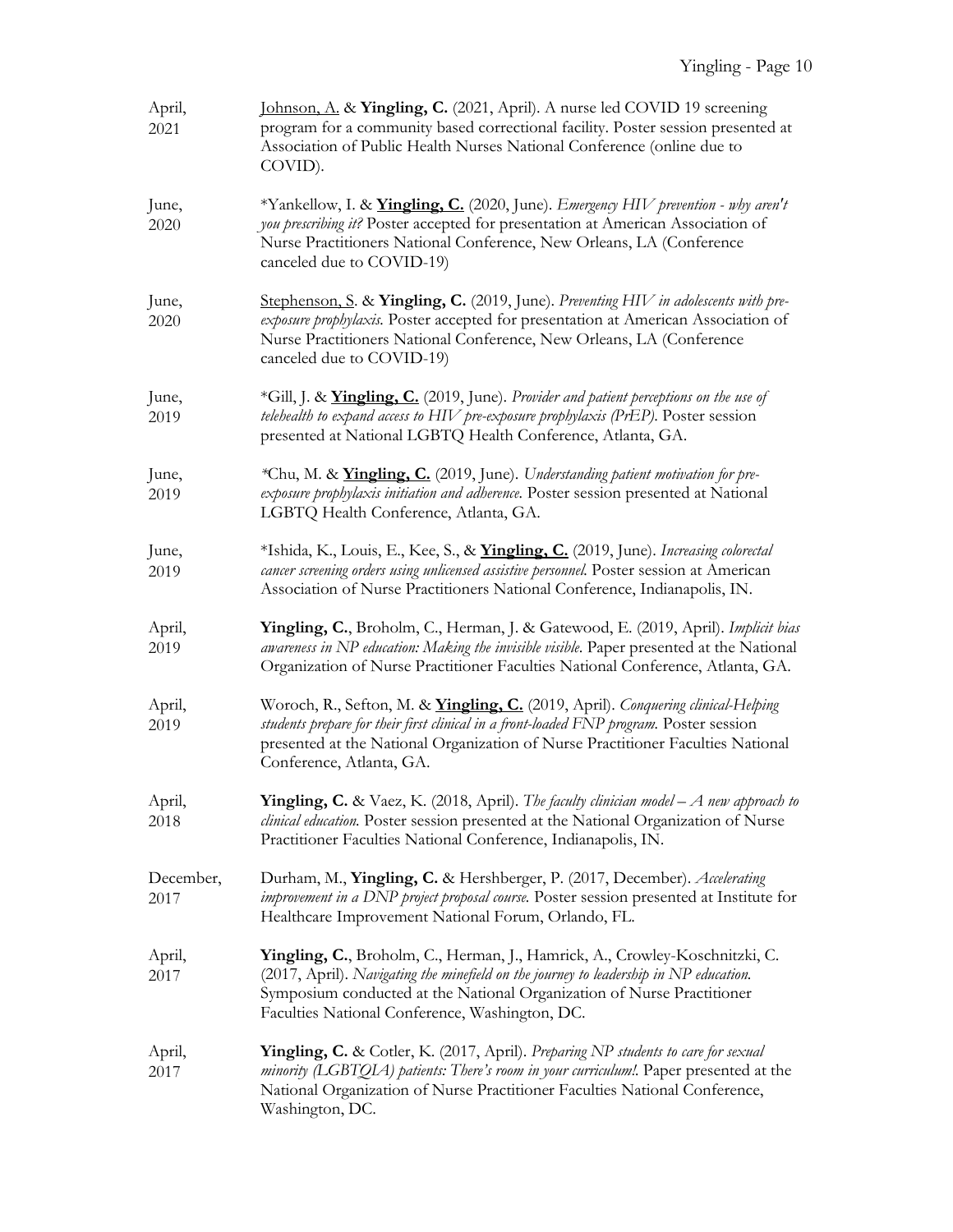| April,<br>2021    | Johnson, A. & Yingling, C. (2021, April). A nurse led COVID 19 screening<br>program for a community based correctional facility. Poster session presented at<br>Association of Public Health Nurses National Conference (online due to<br>COVID).                                                 |
|-------------------|---------------------------------------------------------------------------------------------------------------------------------------------------------------------------------------------------------------------------------------------------------------------------------------------------|
| June,<br>2020     | *Yankellow, I. & Yingling, C. (2020, June). Emergency HIV prevention - why aren't<br>you prescribing it? Poster accepted for presentation at American Association of<br>Nurse Practitioners National Conference, New Orleans, LA (Conference<br>canceled due to COVID-19)                         |
| June,<br>2020     | Stephenson, S. & Yingling, C. (2019, June). Preventing HIV in adolescents with pre-<br>exposure prophylaxis. Poster accepted for presentation at American Association of<br>Nurse Practitioners National Conference, New Orleans, LA (Conference<br>canceled due to COVID-19)                     |
| June,<br>2019     | *Gill, J. & <i>Yingling, C.</i> (2019, June). Provider and patient perceptions on the use of<br>telehealth to expand access to HIV pre-exposure prophylaxis (PrEP). Poster session<br>presented at National LGBTQ Health Conference, Atlanta, GA.                                                 |
| June,<br>2019     | *Chu, M. & <i>Yingling, C.</i> (2019, June). Understanding patient motivation for pre-<br>exposure prophylaxis initiation and adherence. Poster session presented at National<br>LGBTQ Health Conference, Atlanta, GA.                                                                            |
| June,<br>2019     | *Ishida, K., Louis, E., Kee, S., & <i>Yingling, C.</i> (2019, June). Increasing colorectal<br>cancer screening orders using unlicensed assistive personnel. Poster session at American<br>Association of Nurse Practitioners National Conference, Indianapolis, IN.                               |
| April,<br>2019    | Yingling, C., Broholm, C., Herman, J. & Gatewood, E. (2019, April). Implicit bias<br>awareness in NP education: Making the invisible visible. Paper presented at the National<br>Organization of Nurse Practitioner Faculties National Conference, Atlanta, GA.                                   |
| April,<br>2019    | Woroch, R., Sefton, M. & <i>Yingling, C.</i> (2019, April). Conquering clinical-Helping<br>students prepare for their first clinical in a front-loaded FNP program. Poster session<br>presented at the National Organization of Nurse Practitioner Faculties National<br>Conference, Atlanta, GA. |
| April,<br>2018    | <b>Yingling, C.</b> & Vaez, K. (2018, April). The faculty clinician model - A new approach to<br>clinical education. Poster session presented at the National Organization of Nurse<br>Practitioner Faculties National Conference, Indianapolis, IN.                                              |
| December,<br>2017 | Durham, M., Yingling, C. & Hershberger, P. (2017, December). Accelerating<br>improvement in a DNP project proposal course. Poster session presented at Institute for<br>Healthcare Improvement National Forum, Orlando, FL.                                                                       |
| April,<br>2017    | Yingling, C., Broholm, C., Herman, J., Hamrick, A., Crowley-Koschnitzki, C.<br>(2017, April). Navigating the minefield on the journey to leadership in NP education.<br>Symposium conducted at the National Organization of Nurse Practitioner<br>Faculties National Conference, Washington, DC.  |
| April,<br>2017    | Yingling, C. & Cotler, K. (2017, April). Preparing NP students to care for sexual<br>minority (LGBTQIA) patients: There's room in your curriculum!. Paper presented at the<br>National Organization of Nurse Practitioner Faculties National Conference,<br>Washington, DC.                       |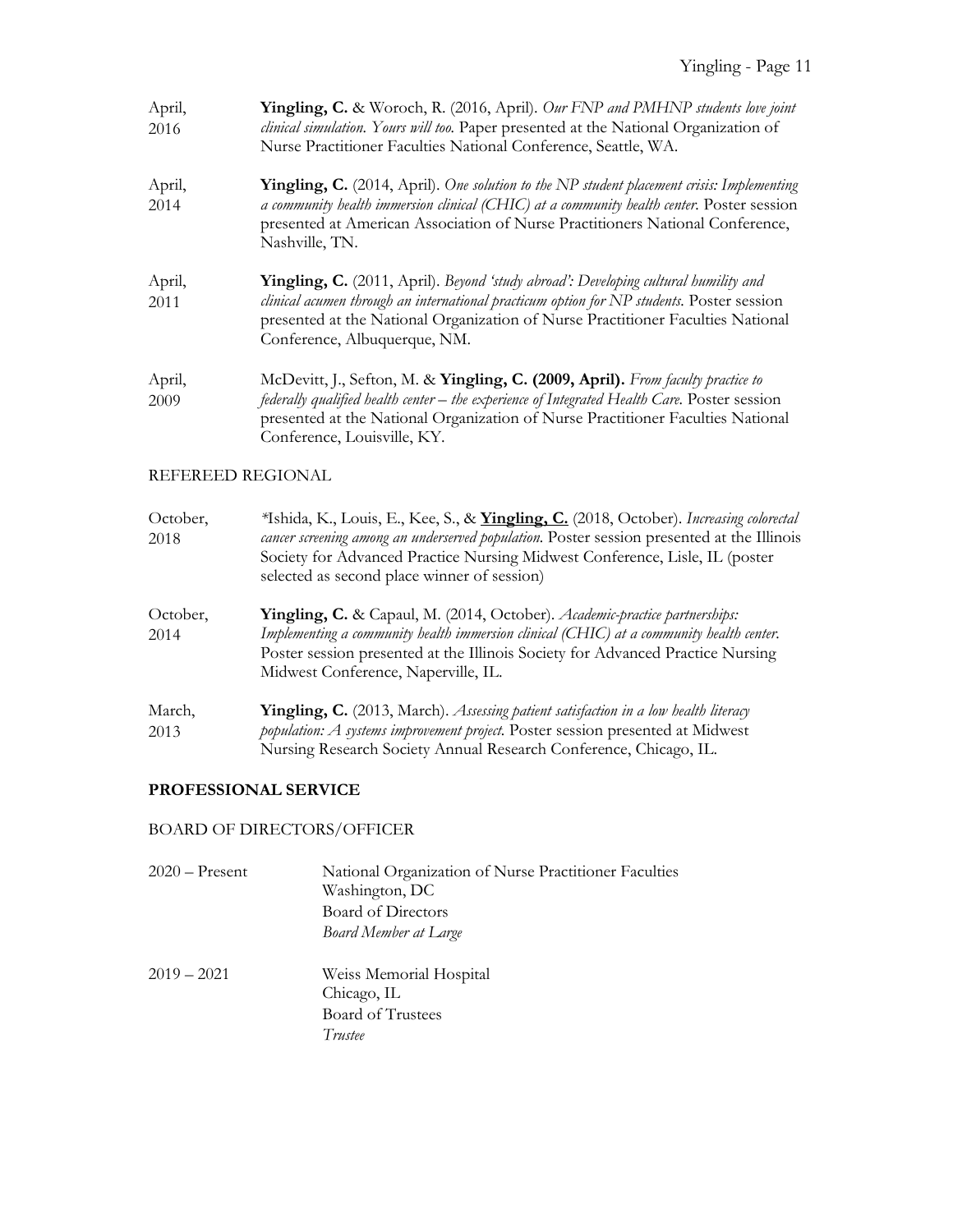| April,<br>2016    | Yingling, C. & Woroch, R. (2016, April). Our FNP and PMHNP students love joint<br>clinical simulation. Yours will too. Paper presented at the National Organization of<br>Nurse Practitioner Faculties National Conference, Seattle, WA.                                                                           |
|-------------------|--------------------------------------------------------------------------------------------------------------------------------------------------------------------------------------------------------------------------------------------------------------------------------------------------------------------|
| April,<br>2014    | Yingling, C. (2014, April). One solution to the NP student placement crisis: Implementing<br>a community health immersion clinical (CHIC) at a community health center. Poster session<br>presented at American Association of Nurse Practitioners National Conference,<br>Nashville, TN.                          |
| April,<br>2011    | Yingling, C. (2011, April). Beyond 'study abroad': Developing cultural humility and<br>clinical acumen through an international practicum option for NP students. Poster session<br>presented at the National Organization of Nurse Practitioner Faculties National<br>Conference, Albuquerque, NM.                |
| April,<br>2009    | McDevitt, J., Sefton, M. & Yingling, C. (2009, April). From faculty practice to<br>federally qualified health center - the experience of Integrated Health Care. Poster session<br>presented at the National Organization of Nurse Practitioner Faculties National<br>Conference, Louisville, KY.                  |
| REFEREED REGIONAL |                                                                                                                                                                                                                                                                                                                    |
| October,<br>2018  | *Ishida, K., Louis, E., Kee, S., & Yingling, C. (2018, October). Increasing colorectal<br>cancer screening among an underserved population. Poster session presented at the Illinois<br>Society for Advanced Practice Nursing Midwest Conference, Lisle, IL (poster<br>selected as second place winner of session) |
| October,<br>2014  | Yingling, C. & Capaul, M. (2014, October). Academic-practice partnerships:<br>Implementing a community health immersion clinical (CHIC) at a community health center.<br>Poster session presented at the Illinois Society for Advanced Practice Nursing<br>Midwest Conference, Naperville, IL.                     |
| March,<br>2013    | Yingling, C. (2013, March). Assessing patient satisfaction in a low health literacy<br>population: A systems improvement project. Poster session presented at Midwest                                                                                                                                              |

#### Nursing Research Society Annual Research Conference, Chicago, IL.

# **PROFESSIONAL SERVICE**

### BOARD OF DIRECTORS/OFFICER

| $2020 -$ Present | National Organization of Nurse Practitioner Faculties<br>Washington, DC<br>Board of Directors<br><b>Board Member at Large</b> |
|------------------|-------------------------------------------------------------------------------------------------------------------------------|
| $2019 - 2021$    | Weiss Memorial Hospital<br>Chicago, IL<br>Board of Trustees<br>Trustee                                                        |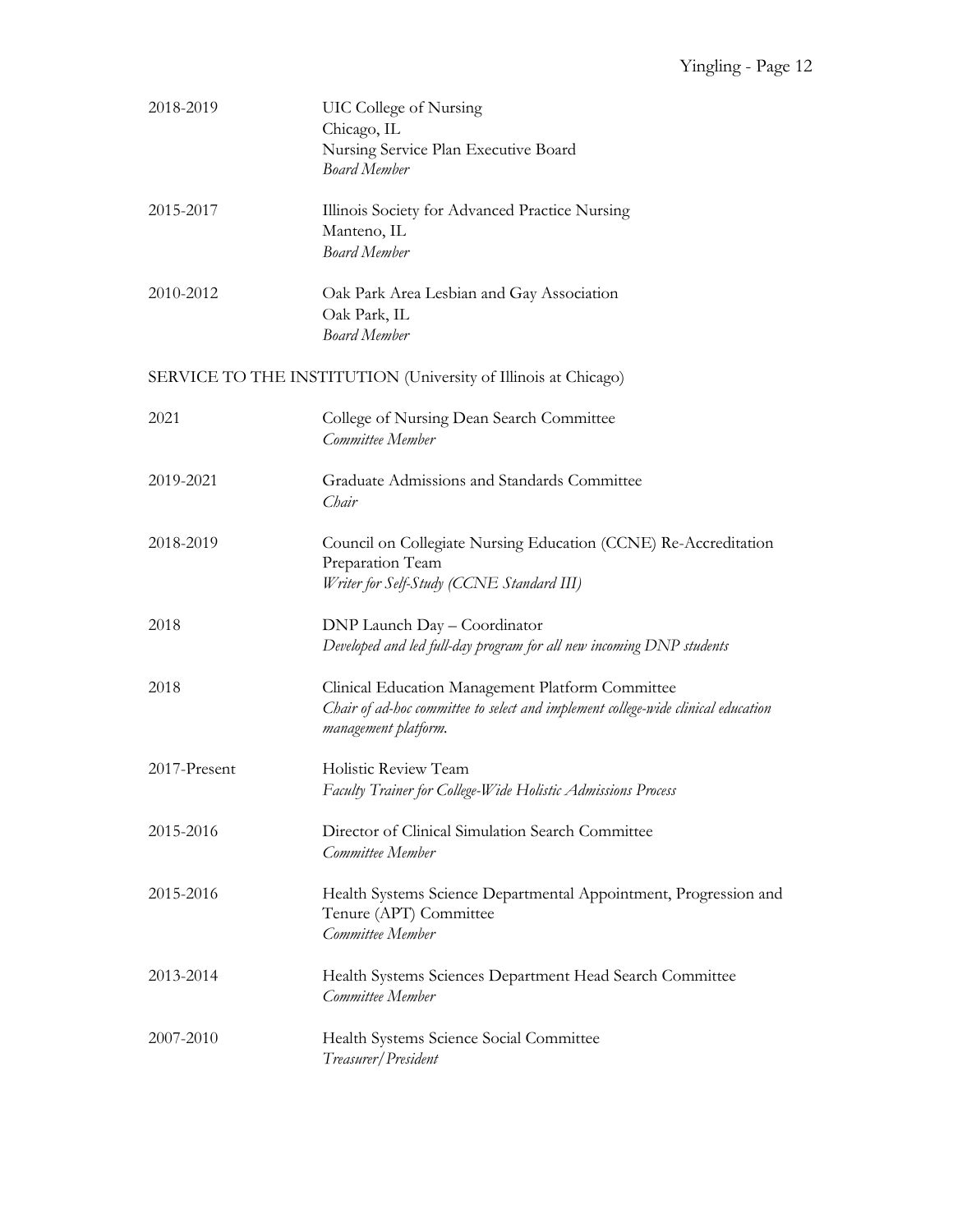| 2018-2019    | UIC College of Nursing<br>Chicago, IL<br>Nursing Service Plan Executive Board<br><b>Board Member</b>                                                          |
|--------------|---------------------------------------------------------------------------------------------------------------------------------------------------------------|
| 2015-2017    | Illinois Society for Advanced Practice Nursing<br>Manteno, IL<br><b>Board Member</b>                                                                          |
| 2010-2012    | Oak Park Area Lesbian and Gay Association<br>Oak Park, IL<br><b>Board Member</b>                                                                              |
|              | SERVICE TO THE INSTITUTION (University of Illinois at Chicago)                                                                                                |
| 2021         | College of Nursing Dean Search Committee<br>Committee Member                                                                                                  |
| 2019-2021    | Graduate Admissions and Standards Committee<br>Chair                                                                                                          |
| 2018-2019    | Council on Collegiate Nursing Education (CCNE) Re-Accreditation<br>Preparation Team<br>Writer for Self-Study (CCNE Standard III)                              |
| 2018         | DNP Launch Day - Coordinator<br>Developed and led full-day program for all new incoming DNP students                                                          |
| 2018         | Clinical Education Management Platform Committee<br>Chair of ad-hoc committee to select and implement college-wide clinical education<br>management platform. |
| 2017-Present | Holistic Review Team<br>Faculty Trainer for College-Wide Holistic Admissions Process                                                                          |
| 2015-2016    | Director of Clinical Simulation Search Committee<br>Committee Member                                                                                          |
| 2015-2016    | Health Systems Science Departmental Appointment, Progression and<br>Tenure (APT) Committee<br>Committee Member                                                |
| 2013-2014    | Health Systems Sciences Department Head Search Committee<br>Committee Member                                                                                  |
| 2007-2010    | Health Systems Science Social Committee<br>Treasurer/President                                                                                                |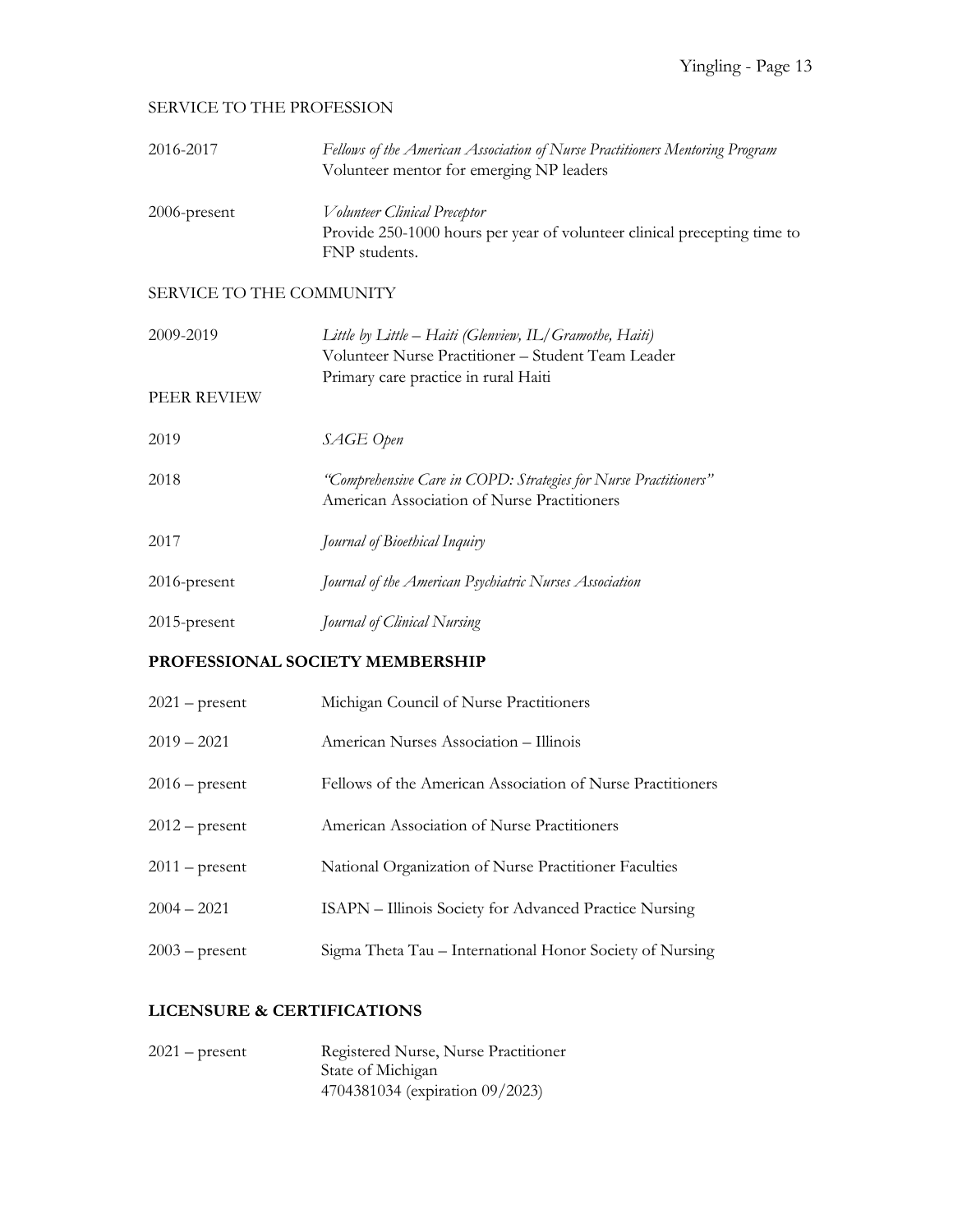#### SERVICE TO THE PROFESSION

| 2016-2017                       | Fellows of the American Association of Nurse Practitioners Mentoring Program<br>Volunteer mentor for emerging NP leaders                              |  |
|---------------------------------|-------------------------------------------------------------------------------------------------------------------------------------------------------|--|
| 2006-present                    | Volunteer Clinical Preceptor<br>Provide 250-1000 hours per year of volunteer clinical precepting time to<br>FNP students.                             |  |
| SERVICE TO THE COMMUNITY        |                                                                                                                                                       |  |
| 2009-2019                       | Little by Little – Haiti (Glenview, IL/Gramothe, Haiti)<br>Volunteer Nurse Practitioner - Student Team Leader<br>Primary care practice in rural Haiti |  |
| PEER REVIEW                     |                                                                                                                                                       |  |
| 2019                            | SAGE Open                                                                                                                                             |  |
| 2018                            | "Comprehensive Care in COPD: Strategies for Nurse Practitioners"<br>American Association of Nurse Practitioners                                       |  |
| 2017                            | Journal of Bioethical Inquiry                                                                                                                         |  |
| 2016-present                    | Journal of the American Psychiatric Nurses Association                                                                                                |  |
| 2015-present                    | Journal of Clinical Nursing                                                                                                                           |  |
| PROFESSIONAL SOCIETY MEMBERSHIP |                                                                                                                                                       |  |
| $2021$ – present                | Michigan Council of Nurse Practitioners                                                                                                               |  |
| $2019 - 2021$                   | American Nurses Association - Illinois                                                                                                                |  |
| $2016$ – present                | Fellows of the American Association of Nurse Practitioners                                                                                            |  |
| $2012$ – present                | American Association of Nurse Practitioners                                                                                                           |  |
| $2011$ – present                | National Organization of Nurse Practitioner Faculties                                                                                                 |  |

- 2004 2021 ISAPN Illinois Society for Advanced Practice Nursing
- 2003 present Sigma Theta Tau International Honor Society of Nursing

### **LICENSURE & CERTIFICATIONS**

| $2021$ – present | Registered Nurse, Nurse Practitioner |
|------------------|--------------------------------------|
|                  | State of Michigan                    |
|                  | 4704381034 (expiration 09/2023)      |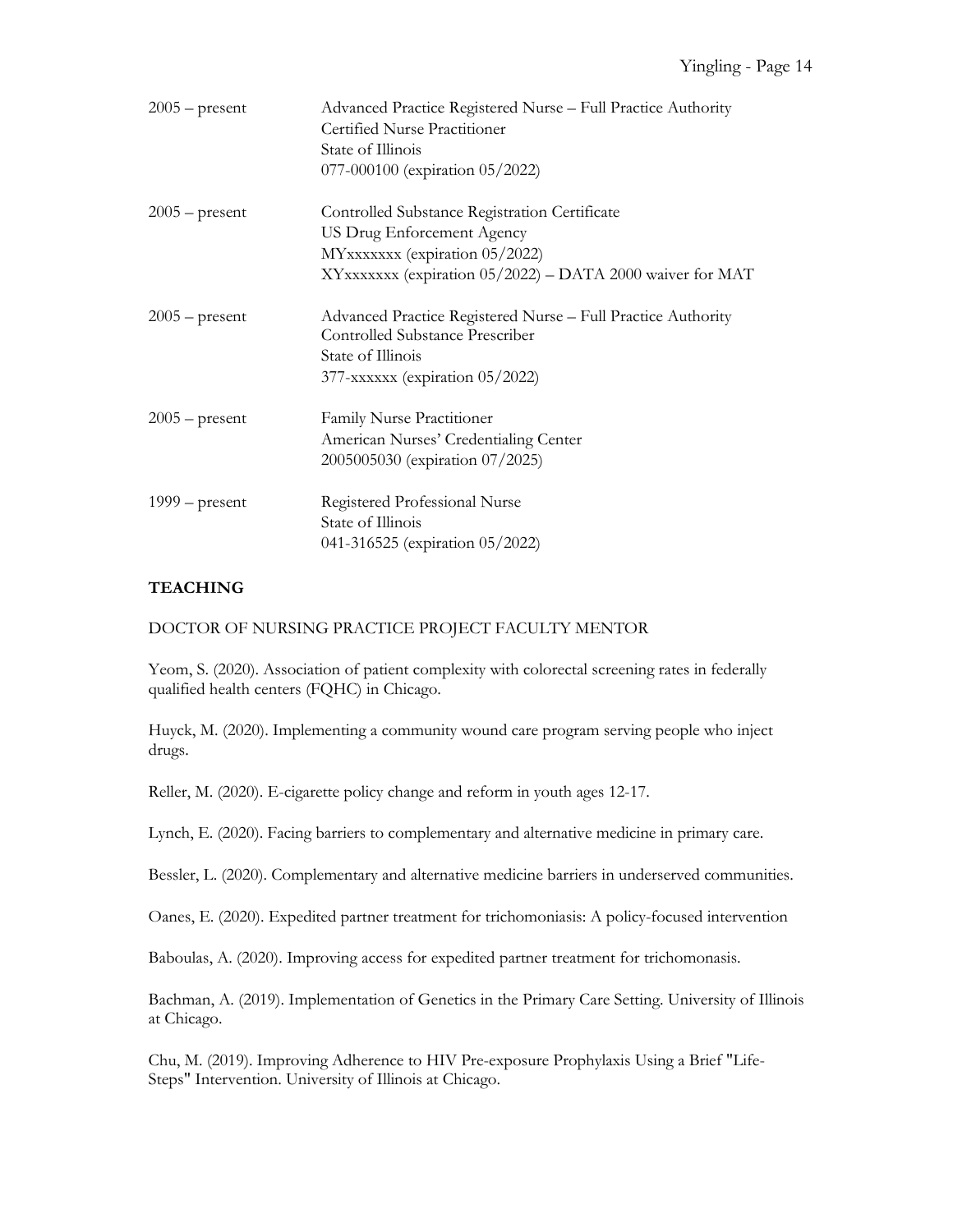| $2005$ – present | Advanced Practice Registered Nurse - Full Practice Authority<br><b>Certified Nurse Practitioner</b><br>State of Illinois<br>077-000100 (expiration 05/2022)               |
|------------------|---------------------------------------------------------------------------------------------------------------------------------------------------------------------------|
| $2005$ – present | Controlled Substance Registration Certificate<br>US Drug Enforcement Agency<br>MYxxxxxx (expiration 05/2022)<br>XYxxxxxxx (expiration 05/2022) - DATA 2000 waiver for MAT |
| $2005$ – present | Advanced Practice Registered Nurse - Full Practice Authority<br>Controlled Substance Prescriber<br>State of Illinois<br>377-xxxxxx (expiration 05/2022)                   |
| $2005$ – present | Family Nurse Practitioner<br>American Nurses' Credentialing Center<br>2005005030 (expiration 07/2025)                                                                     |
| $1999 - present$ | Registered Professional Nurse<br>State of Illinois<br>041-316525 (expiration 05/2022)                                                                                     |

#### **TEACHING**

#### DOCTOR OF NURSING PRACTICE PROJECT FACULTY MENTOR

Yeom, S. (2020). Association of patient complexity with colorectal screening rates in federally qualified health centers (FQHC) in Chicago.

Huyck, M. (2020). Implementing a community wound care program serving people who inject drugs.

Reller, M. (2020). E-cigarette policy change and reform in youth ages 12-17.

Lynch, E. (2020). Facing barriers to complementary and alternative medicine in primary care.

Bessler, L. (2020). Complementary and alternative medicine barriers in underserved communities.

Oanes, E. (2020). Expedited partner treatment for trichomoniasis: A policy-focused intervention

Baboulas, A. (2020). Improving access for expedited partner treatment for trichomonasis.

Bachman, A. (2019). Implementation of Genetics in the Primary Care Setting. University of Illinois at Chicago.

Chu, M. (2019). Improving Adherence to HIV Pre-exposure Prophylaxis Using a Brief "Life-Steps" Intervention. University of Illinois at Chicago.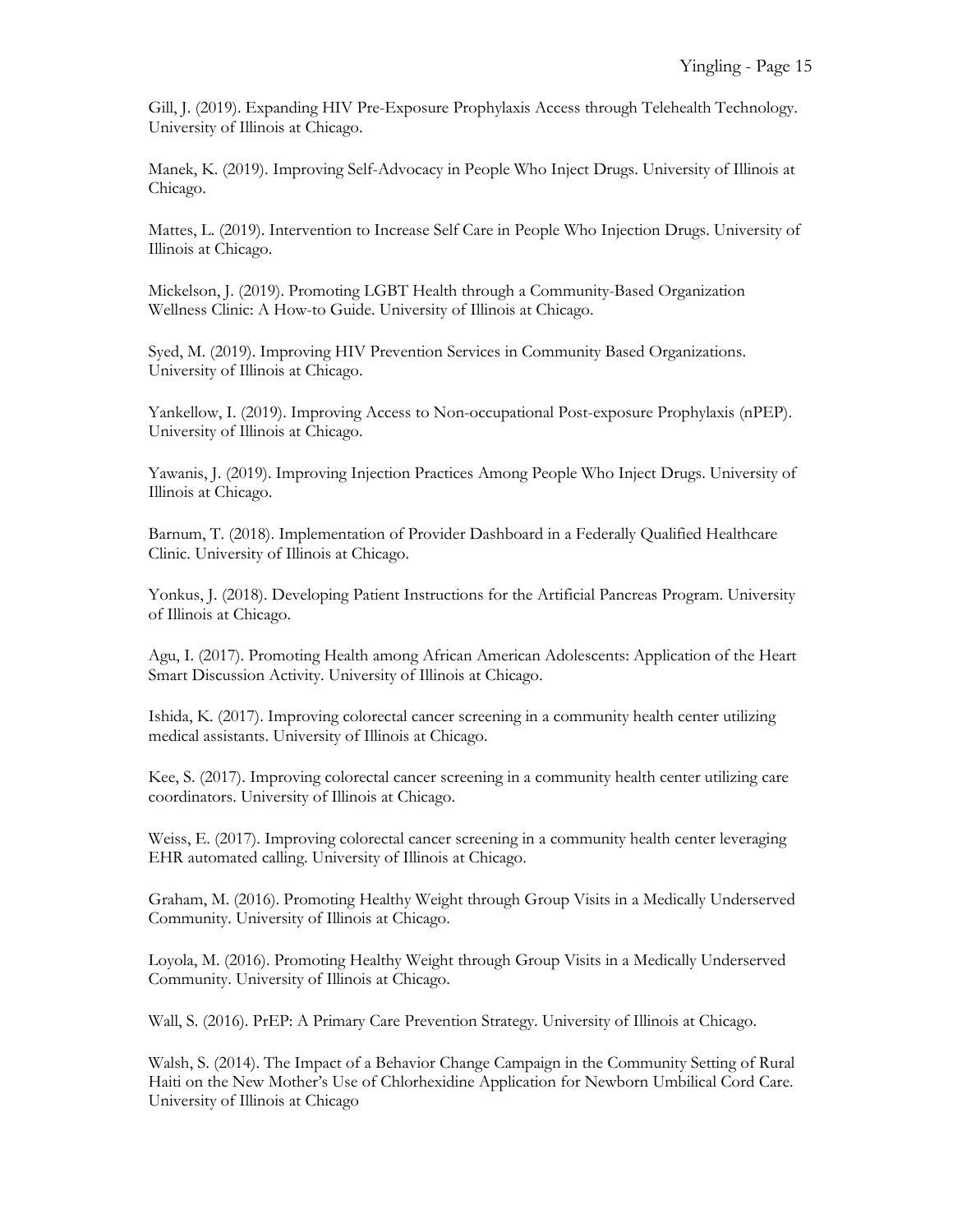Gill, J. (2019). Expanding HIV Pre-Exposure Prophylaxis Access through Telehealth Technology. University of Illinois at Chicago.

Manek, K. (2019). Improving Self-Advocacy in People Who Inject Drugs. University of Illinois at Chicago.

Mattes, L. (2019). Intervention to Increase Self Care in People Who Injection Drugs. University of Illinois at Chicago.

Mickelson, J. (2019). Promoting LGBT Health through a Community-Based Organization Wellness Clinic: A How-to Guide. University of Illinois at Chicago.

Syed, M. (2019). Improving HIV Prevention Services in Community Based Organizations. University of Illinois at Chicago.

Yankellow, I. (2019). Improving Access to Non-occupational Post-exposure Prophylaxis (nPEP). University of Illinois at Chicago.

Yawanis, J. (2019). Improving Injection Practices Among People Who Inject Drugs. University of Illinois at Chicago.

Barnum, T. (2018). Implementation of Provider Dashboard in a Federally Qualified Healthcare Clinic. University of Illinois at Chicago.

Yonkus, J. (2018). Developing Patient Instructions for the Artificial Pancreas Program. University of Illinois at Chicago.

Agu, I. (2017). Promoting Health among African American Adolescents: Application of the Heart Smart Discussion Activity. University of Illinois at Chicago.

Ishida, K. (2017). Improving colorectal cancer screening in a community health center utilizing medical assistants. University of Illinois at Chicago.

Kee, S. (2017). Improving colorectal cancer screening in a community health center utilizing care coordinators. University of Illinois at Chicago.

Weiss, E. (2017). Improving colorectal cancer screening in a community health center leveraging EHR automated calling. University of Illinois at Chicago.

Graham, M. (2016). Promoting Healthy Weight through Group Visits in a Medically Underserved Community. University of Illinois at Chicago.

Loyola, M. (2016). Promoting Healthy Weight through Group Visits in a Medically Underserved Community. University of Illinois at Chicago.

Wall, S. (2016). PrEP: A Primary Care Prevention Strategy. University of Illinois at Chicago.

Walsh, S. (2014). The Impact of a Behavior Change Campaign in the Community Setting of Rural Haiti on the New Mother's Use of Chlorhexidine Application for Newborn Umbilical Cord Care. University of Illinois at Chicago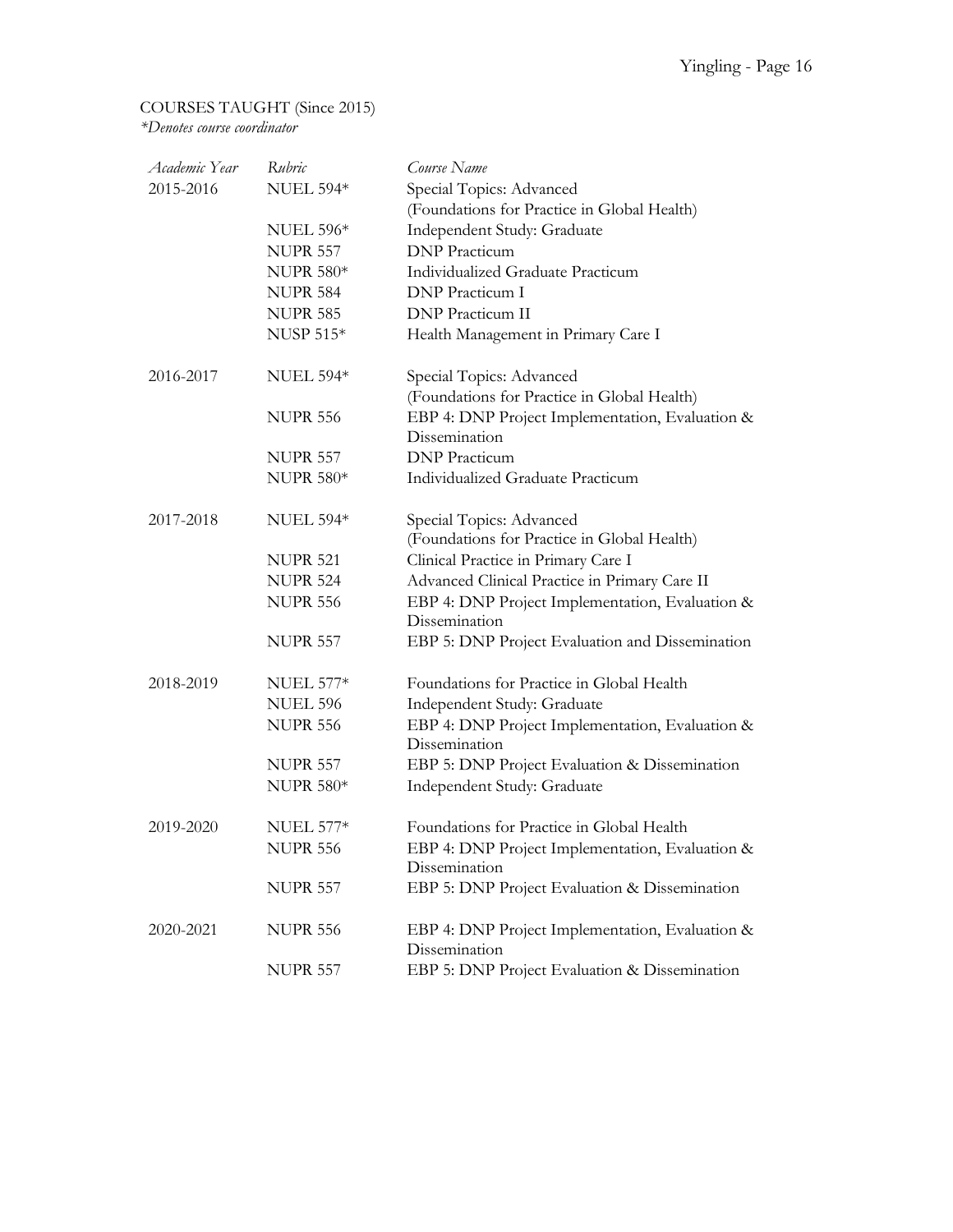# COURSES TAUGHT (Since 2015)

*\*Denotes course coordinator*

| Academic Year | Rubric           | Course Name                                                      |
|---------------|------------------|------------------------------------------------------------------|
| 2015-2016     | <b>NUEL 594*</b> | Special Topics: Advanced                                         |
|               |                  | (Foundations for Practice in Global Health)                      |
|               | <b>NUEL 596*</b> | Independent Study: Graduate                                      |
|               | <b>NUPR 557</b>  | <b>DNP</b> Practicum                                             |
|               | <b>NUPR 580*</b> | Individualized Graduate Practicum                                |
|               | <b>NUPR 584</b>  | <b>DNP</b> Practicum I                                           |
|               | <b>NUPR 585</b>  | <b>DNP</b> Practicum II                                          |
|               | <b>NUSP 515*</b> | Health Management in Primary Care I                              |
| 2016-2017     | <b>NUEL 594*</b> | Special Topics: Advanced                                         |
|               |                  | (Foundations for Practice in Global Health)                      |
|               | <b>NUPR 556</b>  | EBP 4: DNP Project Implementation, Evaluation &<br>Dissemination |
|               | <b>NUPR 557</b>  | <b>DNP</b> Practicum                                             |
|               | <b>NUPR 580*</b> | Individualized Graduate Practicum                                |
| 2017-2018     | <b>NUEL 594*</b> | Special Topics: Advanced                                         |
|               |                  | (Foundations for Practice in Global Health)                      |
|               | <b>NUPR 521</b>  | Clinical Practice in Primary Care I                              |
|               | <b>NUPR 524</b>  | Advanced Clinical Practice in Primary Care II                    |
|               | <b>NUPR 556</b>  | EBP 4: DNP Project Implementation, Evaluation &                  |
|               |                  | Dissemination                                                    |
|               | <b>NUPR 557</b>  | EBP 5: DNP Project Evaluation and Dissemination                  |
| 2018-2019     | <b>NUEL 577*</b> | Foundations for Practice in Global Health                        |
|               | <b>NUEL 596</b>  | Independent Study: Graduate                                      |
|               | <b>NUPR 556</b>  | EBP 4: DNP Project Implementation, Evaluation &<br>Dissemination |
|               | <b>NUPR 557</b>  | EBP 5: DNP Project Evaluation & Dissemination                    |
|               | <b>NUPR 580*</b> | Independent Study: Graduate                                      |
| 2019-2020     | <b>NUEL 577*</b> | Foundations for Practice in Global Health                        |
|               | <b>NUPR 556</b>  | EBP 4: DNP Project Implementation, Evaluation &<br>Dissemination |
|               | <b>NUPR 557</b>  | EBP 5: DNP Project Evaluation & Dissemination                    |
| 2020-2021     | <b>NUPR 556</b>  | EBP 4: DNP Project Implementation, Evaluation &<br>Dissemination |
|               | <b>NUPR 557</b>  | EBP 5: DNP Project Evaluation & Dissemination                    |